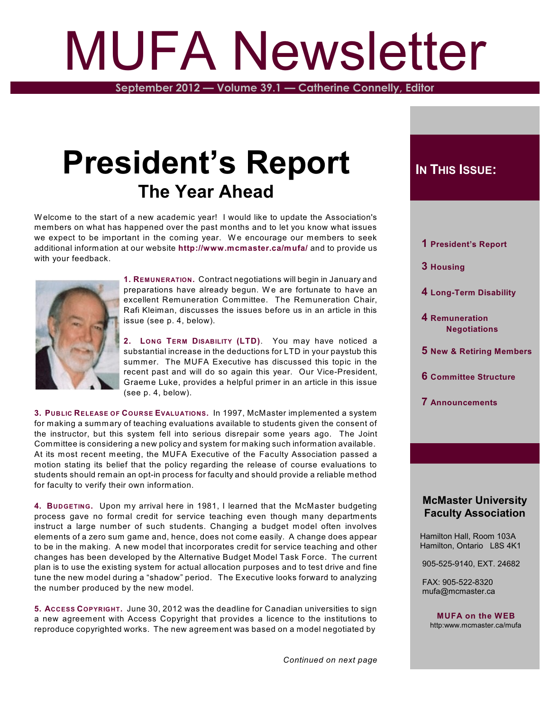# MUFA Newsletter

**September 2012 — Volume 39.1 — Catherine Connelly, Editor**

# **President's Report The Year Ahead**

W elcome to the start of a new academic year! I would like to update the Association's members on what has happened over the past months and to let you know what issues we expect to be important in the coming year. We encourage our members to seek additional information at our website **<http://www.mcmaster.ca/mufa/>** and to provide us with your feedback.



**1. REMUNERATION.** Contract negotiations will begin in January and preparations have already begun. We are fortunate to have an excellent Remuneration Committee. The Remuneration Chair, Rafi Kleiman, discusses the issues before us in an article in this issue (see p. 4, below).

**2. LONG TERM DISABILITY (LTD)**. You may have noticed a substantial increase in the deductions for LTD in your paystub this summer. The MUFA Executive has discussed this topic in the recent past and will do so again this year. Our Vice-President, Graeme Luke, provides a helpful primer in an article in this issue (see p. 4, below).

**3. PUBLIC RELEASE OF COURSE EVALUATIONS.** In 1997, McMaster implemented a system for making a summary of teaching evaluations available to students given the consent of the instructor, but this system fell into serious disrepair some years ago. The Joint Committee is considering a new policy and system for making such information available. At its most recent meeting, the MUFA Executive of the Faculty Association passed a motion stating its belief that the policy regarding the release of course evaluations to students should remain an opt-in process for faculty and should provide a reliable method for faculty to verify their own information.

**4. BUDGETING.** Upon my arrival here in 1981, I learned that the McMaster budgeting process gave no formal credit for service teaching even though many departments instruct a large number of such students. Changing a budget model often involves elements of a zero sum game and, hence, does not come easily. A change does appear to be in the making. A new model that incorporates credit for service teaching and other changes has been developed by the Alternative Budget Model Task Force. The current plan is to use the existing system for actual allocation purposes and to test drive and fine tune the new model during a "shadow" period. The Executive looks forward to analyzing the number produced by the new model.

**5. ACCESS COPYRIGHT.** June 30, 2012 was the deadline for Canadian universities to sign a new agreement with Access Copyright that provides a licence to the institutions to reproduce copyrighted works. The new agreement was based on a model negotiated by

# $I$ **N THIS** *ISSUE***:**

- **1 President's Report**
- **3 Housing**
- **4 Long-Term Disability**
- **4 Remuneration Negotiations**
- **5 New & Retiring Members**
- **6 Committee Structure**
- **7 Announcements**

### **McMaster University Faculty Association**

 Hamilton Hall, Room 103A Hamilton, Ontario L8S 4K1

905-525-9140, EXT. 24682

 FAX: 905-522-8320 mufa@mcmaster.ca

> **MUFA on the WEB** http:www.mcmaster.ca/mufa

*Continued on next page*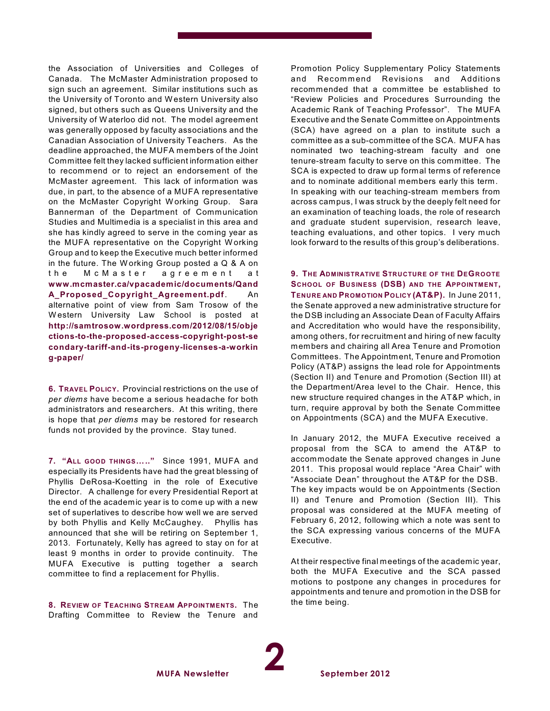the Association of Universities and Colleges of Canada. The McMaster Administration proposed to sign such an agreement. Similar institutions such as the University of Toronto and W estern University also signed, but others such as Queens University and the University of W aterloo did not. The model agreement was generally opposed by faculty associations and the Canadian Association of University Teachers. As the deadline approached, the MUFA members of the Joint Committee felt they lacked sufficient information either to recommend or to reject an endorsement of the McMaster agreement. This lack of information was due, in part, to the absence of a MUFA representative on the McMaster Copyright Working Group. Sara Bannerman of the Department of Communication Studies and Multimedia is a specialist in this area and she has kindly agreed to serve in the coming year as the MUFA representative on the Copyright W orking Group and to keep the Executive much better informed in the future. The W orking Group posted a Q & A on the McMaster agreement at **[www.mcmaster.ca/vpacademic/documents/Qand](http://www.mcmaster.ca/vpacademic/documents/QandA_Proposed_Copyright_Agreement.pdf) [A\\_Proposed\\_Copyright\\_Agreement.pdf](http://www.mcmaster.ca/vpacademic/documents/QandA_Proposed_Copyright_Agreement.pdf)**. An alternative point of view from Sam Trosow of the W estern University Law School is posted at **[http://samtrosow.wordpress.com/2012/08/15/obje](http://samtrosow.wordpress.com/2012/08/15/objections-to-the-proposed-access-copyright-post-secondary-tariff-and-its-progeny-licenses-a-working-paper/) [ctions-to-the-proposed-access-copyright-post-se](http://samtrosow.wordpress.com/2012/08/15/objections-to-the-proposed-access-copyright-post-secondary-tariff-and-its-progeny-licenses-a-working-paper/) [condary-tariff-and-its-progeny-licenses-a-workin](http://samtrosow.wordpress.com/2012/08/15/objections-to-the-proposed-access-copyright-post-secondary-tariff-and-its-progeny-licenses-a-working-paper/) [g-paper/](http://samtrosow.wordpress.com/2012/08/15/objections-to-the-proposed-access-copyright-post-secondary-tariff-and-its-progeny-licenses-a-working-paper/)**

**6. TRAVEL POLICY.** Provincial restrictions on the use of *per diems* have become a serious headache for both administrators and researchers. At this writing, there is hope that *per diems* may be restored for research funds not provided by the province. Stay tuned.

**7. "ALL GOOD THINGS….."** Since 1991, MUFA and especially its Presidents have had the great blessing of Phyllis DeRosa-Koetting in the role of Executive Director. A challenge for every Presidential Report at the end of the academic year is to come up with a new set of superlatives to describe how well we are served by both Phyllis and Kelly McCaughey. Phyllis has announced that she will be retiring on September 1, 2013. Fortunately, Kelly has agreed to stay on for at least 9 months in order to provide continuity. The MUFA Executive is putting together a search committee to find a replacement for Phyllis.

**8. REVIEW OF TEACHING STREAM APPOINTMENTS.** The Drafting Committee to Review the Tenure and

Promotion Policy Supplementary Policy Statements and Recommend Revisions and Additions recommended that a committee be established to "Review Policies and Procedures Surrounding the Academic Rank of Teaching Professor". The MUFA Executive and the Senate Committee on Appointments (SCA) have agreed on a plan to institute such a committee as a sub-committee of the SCA. MUFA has nominated two teaching-stream faculty and one tenure-stream faculty to serve on this committee. The SCA is expected to draw up formal terms of reference and to nominate additional members early this term. In speaking with our teaching-stream members from across campus, I was struck by the deeply felt need for an examination of teaching loads, the role of research and graduate student supervision, research leave, teaching evaluations, and other topics. I very much look forward to the results of this group's deliberations.

**9. THE ADMINISTRATIVE STRUCTURE OF THE DEGROOTE SCHOOL OF BUSINESS (DSB) AND THE APPOINTMENT, TENURE AND PROMOTION POLICY (AT&P).** In June 2011, the Senate approved a new administrative structure for the DSB including an Associate Dean of Faculty Affairs and Accreditation who would have the responsibility, among others, for recruitment and hiring of new faculty members and chairing all Area Tenure and Promotion Committees. The Appointment, Tenure and Promotion Policy (AT&P) assigns the lead role for Appointments (Section II) and Tenure and Promotion (Section III) at the Department/Area level to the Chair. Hence, this new structure required changes in the AT&P which, in turn, require approval by both the Senate Committee on Appointments (SCA) and the MUFA Executive.

In January 2012, the MUFA Executive received a proposal from the SCA to amend the AT&P to accommodate the Senate approved changes in June 2011. This proposal would replace "Area Chair" with "Associate Dean" throughout the AT&P for the DSB. The key impacts would be on Appointments (Section II) and Tenure and Promotion (Section III). This proposal was considered at the MUFA meeting of February 6, 2012, following which a note was sent to the SCA expressing various concerns of the MUFA Executive.

At their respective final meetings of the academic year, both the MUFA Executive and the SCA passed motions to postpone any changes in procedures for appointments and tenure and promotion in the DSB for the time being.

**2**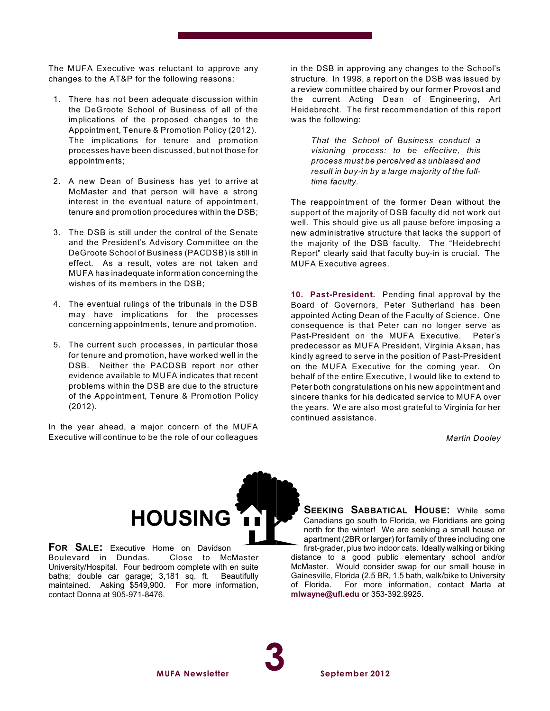The MUFA Executive was reluctant to approve any changes to the AT&P for the following reasons:

- 1. There has not been adequate discussion within the DeGroote School of Business of all of the implications of the proposed changes to the Appointment, Tenure & Promotion Policy (2012). The implications for tenure and promotion processes have been discussed, but not those for appointments;
- 2. A new Dean of Business has yet to arrive at McMaster and that person will have a strong interest in the eventual nature of appointment, tenure and promotion procedures within the DSB;
- 3. The DSB is still under the control of the Senate and the President's Advisory Committee on the DeGroote School of Business (PACDSB) is still in effect. As a result, votes are not taken and MUFA has inadequate information concerning the wishes of its members in the DSB;
- 4. The eventual rulings of the tribunals in the DSB may have implications for the processes concerning appointments, tenure and promotion.
- 5. The current such processes, in particular those for tenure and promotion, have worked well in the DSB. Neither the PACDSB report nor other evidence available to MUFA indicates that recent problems within the DSB are due to the structure of the Appointment, Tenure & Promotion Policy (2012).

In the year ahead, a major concern of the MUFA Executive will continue to be the role of our colleagues

in the DSB in approving any changes to the School's structure. In 1998, a report on the DSB was issued by a review committee chaired by our former Provost and the current Acting Dean of Engineering, Art Heidebrecht. The first recommendation of this report was the following:

*That the School of Business conduct a visioning process: to be effective, this process must be perceived as unbiased and result in buy-in by a large majority of the fulltime faculty.*

The reappointment of the former Dean without the support of the majority of DSB faculty did not work out well. This should give us all pause before imposing a new administrative structure that lacks the support of the majority of the DSB faculty. The "Heidebrecht Report" clearly said that faculty buy-in is crucial. The MUFA Executive agrees.

**10. Past-President.** Pending final approval by the Board of Governors, Peter Sutherland has been appointed Acting Dean of the Faculty of Science. One consequence is that Peter can no longer serve as Past-President on the MUFA Executive. Peter's predecessor as MUFA President, Virginia Aksan, has kindly agreed to serve in the position of Past-President on the MUFA Executive for the coming year. On behalf of the entire Executive, I would like to extend to Peter both congratulations on his new appointment and sincere thanks for his dedicated service to MUFA over the years. W e are also most grateful to Virginia for her continued assistance.

*Martin Dooley*



**FOR SALE:** Executive Home on Davidson Boulevard in Dundas. University/Hospital. Four bedroom complete with en suite baths: double car garage: 3.181 sq. ft. Beautifully baths; double car garage; 3,181 sq. ft. maintained. Asking \$549,900. For more information, contact Donna at 905-971-8476.

**SEEKING SABBATICAL HOUSE:** While some Canadians go south to Florida, we Floridians are going north for the winter! We are seeking a small house or apartment (2BR or larger) for family of three including one first-grader, plus two indoor cats. Ideally walking or biking

distance to a good public elementary school and/or McMaster. Would consider swap for our small house in Gainesville, Florida (2.5 BR, 1.5 bath, walk/bike to University of Florida. For more information, contact Marta at **[mlwayne@ufl.edu](mailto:mlwayne@ufl.edu)** or 353-392.9925.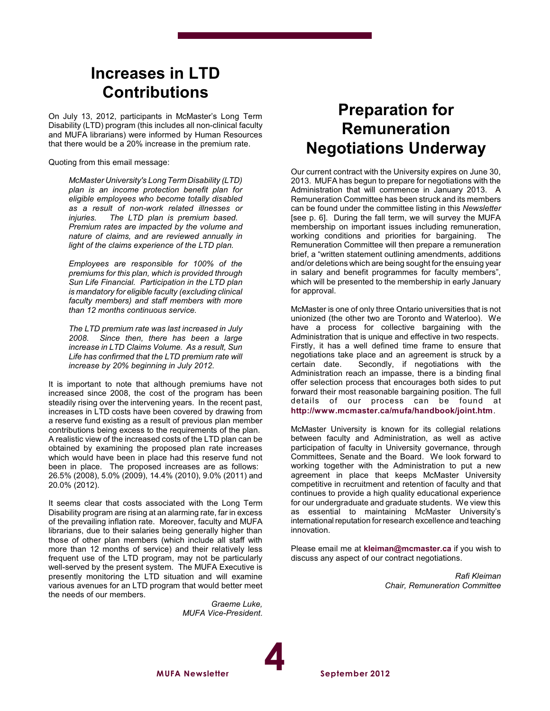# **Increases in LTD Contributions**

On July 13, 2012, participants in McMaster's Long Term Disability (LTD) program (this includes all non-clinical faculty and MUFA librarians) were informed by Human Resources that there would be a 20% increase in the premium rate.

Quoting from this email message:

*McMaster University's Long Term Disability (LTD) plan is an income protection benefit plan for eligible employees who become totally disabled as a result of non-work related illnesses or injuries. The LTD plan is premium based. Premium rates are impacted by the volume and nature of claims, and are reviewed annually in light of the claims experience of the LTD plan.*

*Employees are responsible for 100% of the premiums for this plan, which is provided through Sun Life Financial. Participation in the LTD plan is mandatory for eligible faculty (excluding clinical faculty members) and staff members with more than 12 months continuous service.*

*The LTD premium rate was last increased in July 2008. Since then, there has been a large increase in LTD Claims Volume. As a result, Sun Life has confirmed that the LTD premium rate will increase by 20% beginning in July 2012.*

It is important to note that although premiums have not increased since 2008, the cost of the program has been steadily rising over the intervening years. In the recent past, increases in LTD costs have been covered by drawing from a reserve fund existing as a result of previous plan member contributions being excess to the requirements of the plan. A realistic view of the increased costs of the LTD plan can be obtained by examining the proposed plan rate increases which would have been in place had this reserve fund not been in place. The proposed increases are as follows: 26.5% (2008), 5.0% (2009), 14.4% (2010), 9.0% (2011) and 20.0% (2012).

It seems clear that costs associated with the Long Term Disability program are rising at an alarming rate, far in excess of the prevailing inflation rate. Moreover, faculty and MUFA librarians, due to their salaries being generally higher than those of other plan members (which include all staff with more than 12 months of service) and their relatively less frequent use of the LTD program, may not be particularly well-served by the present system. The MUFA Executive is presently monitoring the LTD situation and will examine various avenues for an LTD program that would better meet the needs of our members.

> *Graeme Luke, MUFA Vice-President*.

> > **4**

# **Preparation for Remuneration Negotiations Underway**

Our current contract with the University expires on June 30, 2013. MUFA has begun to prepare for negotiations with the Administration that will commence in January 2013. A Remuneration Committee has been struck and its members can be found under the committee listing in this *Newsletter* [see p. 6]. During the fall term, we will survey the MUFA membership on important issues including remuneration, working conditions and priorities for bargaining. The Remuneration Committee will then prepare a remuneration brief, a "written statement outlining amendments, additions and/or deletions which are being sought for the ensuing year in salary and benefit programmes for faculty members", which will be presented to the membership in early January for approval.

McMaster is one of only three Ontario universities that is not unionized (the other two are Toronto and Waterloo). We have a process for collective bargaining with the Administration that is unique and effective in two respects. Firstly, it has a well defined time frame to ensure that negotiations take place and an agreement is struck by a<br>certain date. Secondly, if negotiations with the Secondly, if negotiations with the Administration reach an impasse, there is a binding final offer selection process that encourages both sides to put forward their most reasonable bargaining position. The full details of our process can be found at **<http://www.mcmaster.ca/mufa/handbook/joint.htm>**.

McMaster University is known for its collegial relations between faculty and Administration, as well as active participation of faculty in University governance, through Committees, Senate and the Board. We look forward to working together with the Administration to put a new agreement in place that keeps McMaster University competitive in recruitment and retention of faculty and that continues to provide a high quality educational experience for our undergraduate and graduate students. We view this as essential to maintaining McMaster University's international reputation for research excellence and teaching innovation.

Please email me at **[kleiman@mcmaster.ca](mailto:kleiman@mcmaster.ca)** if you wish to discuss any aspect of our contract negotiations.

> *Rafi Kleiman Chair, Remuneration Committee*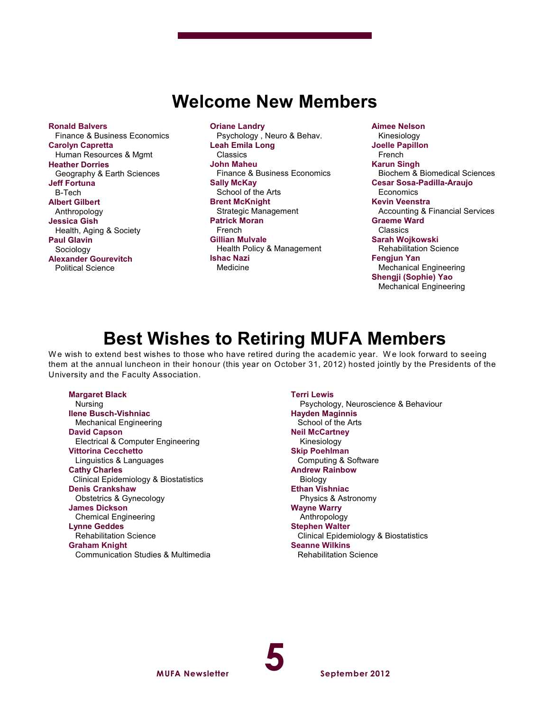# **Welcome New Members**

**Ronald Balvers** Finance & Business Economics **Carolyn Capretta** Human Resources & Mgmt **Heather Dorries** Geography & Earth Sciences **Jeff Fortuna** B-Tech **Albert Gilbert** Anthropology **Jessica Gish** Health, Aging & Society **Paul Glavin** Sociology **Alexander Gourevitch** Political Science

**Oriane Landry** Psychology , Neuro & Behav. **Leah Emila Long** Classics **John Maheu** Finance & Business Economics **Sally McKay** School of the Arts **Brent McKnight** Strategic Management **Patrick Moran** French **Gillian Mulvale** Health Policy & Management **Ishac Nazi** Medicine

**Aimee Nelson** Kinesiology **Joelle Papillon** French **Karun Singh** Biochem & Biomedical Sciences **Cesar Sosa-Padilla-Araujo Economics Kevin Veenstra** Accounting & Financial Services **Graeme Ward** Classics **Sarah Wojkowski** Rehabilitation Science **Fengjun Yan** Mechanical Engineering **Shengji (Sophie) Yao** Mechanical Engineering

# **Best Wishes to Retiring MUFA Members**

We wish to extend best wishes to those who have retired during the academic year. We look forward to seeing them at the annual luncheon in their honour (this year on October 31, 2012) hosted jointly by the Presidents of the University and the Faculty Association.

#### **Margaret Black**

 Nursing **Ilene Busch-Vishniac** Mechanical Engineering **David Capson** Electrical & Computer Engineering **Vittorina Cecchetto** Linguistics & Languages **Cathy Charles** Clinical Epidemiology & Biostatistics **Denis Crankshaw** Obstetrics & Gynecology **James Dickson** Chemical Engineering **Lynne Geddes** Rehabilitation Science **Graham Knight** Communication Studies & Multimedia **Terri Lewis**

 Psychology, Neuroscience & Behaviour **Hayden Maginnis** School of the Arts **Neil McCartney** Kinesiology **Skip Poehlman** Computing & Software **Andrew Rainbow** Biology **Ethan Vishniac** Physics & Astronomy **Wayne Warry** Anthropology **Stephen Walter** Clinical Epidemiology & Biostatistics **Seanne Wilkins** Rehabilitation Science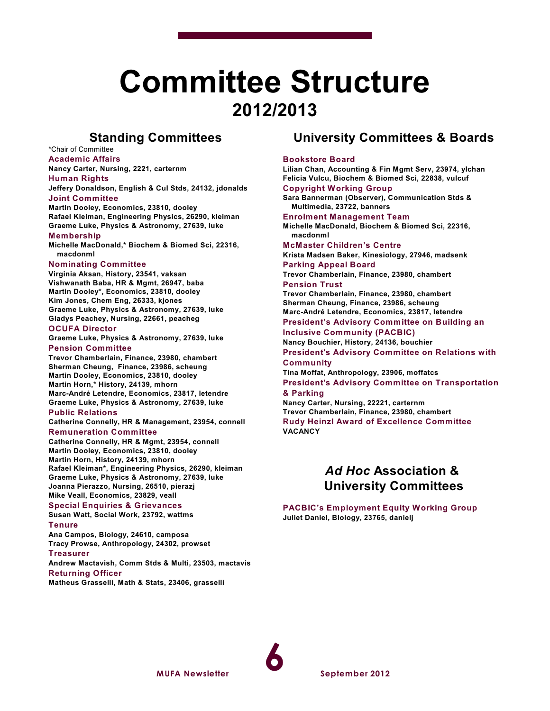# **Committee Structure 2012/2013**

## **Standing Committees**

\*Chair of Committee **Academic Affairs**

**Nancy Carter, Nursing, 2221, carternm**

#### **Human Rights**

**Jeffery Donaldson, English & Cul Stds, 24132, jdonalds Joint Committee**

**Martin Dooley, Economics, 23810, dooley Rafael Kleiman, Engineering Physics, 26290, kleiman Graeme Luke, Physics & Astronomy, 27639, luke Membership**

**Michelle MacDonald,\* Biochem & Biomed Sci, 22316, macdonml**

#### **Nominating Committee**

**Virginia Aksan, History, 23541, vaksan Vishwanath Baba, HR & Mgmt, 26947, baba Martin Dooley\*, Economics, 23810, dooley Kim Jones, Chem Eng, 26333, kjones Graeme Luke, Physics & Astronomy, 27639, luke Gladys Peachey, Nursing, 22661, peacheg**

#### **OCUFA Director**

**Graeme Luke, Physics & Astronomy, 27639, luke Pension Committee**

**Trevor Chamberlain, Finance, 23980, chambert Sherman Cheung, Finance, 23986, scheung Martin Dooley, Economics, 23810, dooley Martin Horn,\* History, 24139, mhorn Marc-André Letendre, Economics, 23817, letendre Graeme Luke, Physics & Astronomy, 27639, luke**

#### **Public Relations**

**Catherine Connelly, HR & Management, 23954, connell Remuneration Committee**

**Catherine Connelly, HR & Mgmt, 23954, connell Martin Dooley, Economics, 23810, dooley Martin Horn, History, 24139, mhorn Rafael Kleiman\*, Engineering Physics, 26290, kleiman Graeme Luke, Physics & Astronomy, 27639, luke Joanna Pierazzo, Nursing, 26510, pierazj Mike Veall, Economics, 23829, veall**

#### **Special Enquiries & Grievances**

#### **Susan Watt, Social Work, 23792, wattms Tenure**

**Ana Campos, Biology, 24610, camposa Tracy Prowse, Anthropology, 24302, prowset**

**Treasurer**

**Andrew Mactavish, Comm Stds & Multi, 23503, mactavis Returning Officer**

**Matheus Grasselli, Math & Stats, 23406, grasselli**

# **University Committees & Boards**

#### **Bookstore Board**

**Lilian Chan, Accounting & Fin Mgmt Serv, 23974, ylchan Felicia Vulcu, Biochem & Biomed Sci, 22838, vulcuf Copyright Working Group**

**Sara Bannerman (Observer), Communication Stds & Multimedia, 23722, banners Enrolment Management Team**

**Michelle MacDonald, Biochem & Biomed Sci, 22316, macdonml**

#### **McMaster Children's Centre**

**Krista Madsen Baker, Kinesiology, 27946, madsenk Parking Appeal Board**

**Trevor Chamberlain, Finance, 23980, chambert Pension Trust**

**Trevor Chamberlain, Finance, 23980, chambert Sherman Cheung, Finance, 23986, scheung Marc-André Letendre, Economics, 23817, letendre**

**President's Advisory Committee on Building an Inclusive Community (PACBIC)**

**Nancy Bouchier, History, 24136, bouchier**

**President's Advisory Committee on Relations with Community**

**Tina Moffat, Anthropology, 23906, moffatcs President's Advisory Committee on Transportation**

#### **& Parking**

**Nancy Carter, Nursing, 22221, carternm Trevor Chamberlain, Finance, 23980, chambert**

**Rudy Heinzl Award of Excellence Committee VACANCY**

## *Ad Hoc* **Association & University Committees**

**PACBIC's Employment Equity Working Group Juliet Daniel, Biology, 23765, danielj**